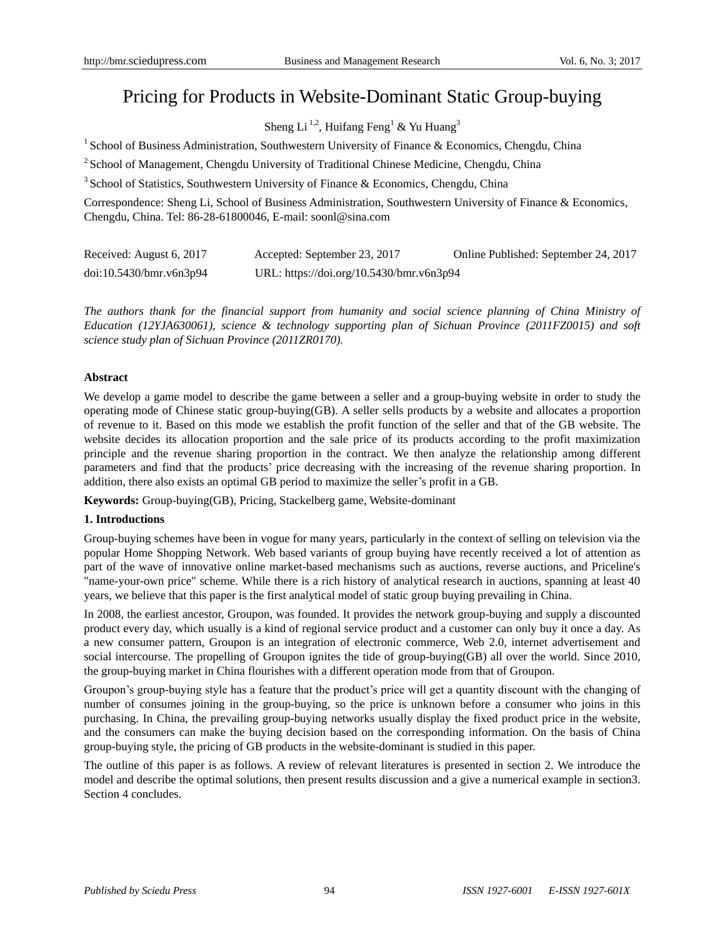# Pricing for Products in Website-Dominant Static Group-buying

Sheng Li<sup>1,2</sup>, Huifang Feng<sup>1</sup> & Yu Huang<sup>3</sup>

<sup>1</sup> School of Business Administration, Southwestern University of Finance & Economics, Chengdu, China

<sup>2</sup> School of Management, Chengdu University of Traditional Chinese Medicine, Chengdu, China

<sup>3</sup> School of Statistics, Southwestern University of Finance & Economics, Chengdu, China

Correspondence: Sheng Li, School of Business Administration, Southwestern University of Finance & Economics, Chengdu, China. Tel: 86-28-61800046, E-mail: soonl@sina.com

| Received: August 6, 2017 | Accepted: September 23, 2017             | Online Published: September 24, 2017 |
|--------------------------|------------------------------------------|--------------------------------------|
| doi:10.5430/bmr.v6n3p94  | URL: https://doi.org/10.5430/bmr.v6n3p94 |                                      |

*The authors thank for the financial support from humanity and social science planning of China Ministry of Education (12YJA630061), science & technology supporting plan of Sichuan Province (2011FZ0015) and soft science study plan of Sichuan Province (2011ZR0170).*

#### **Abstract**

We develop a game model to describe the game between a seller and a group-buying website in order to study the operating mode of Chinese static group-buying(GB). A seller sells products by a website and allocates a proportion of revenue to it. Based on this mode we establish the profit function of the seller and that of the GB website. The website decides its allocation proportion and the sale price of its products according to the profit maximization principle and the revenue sharing proportion in the contract. We then analyze the relationship among different parameters and find that the products' price decreasing with the increasing of the revenue sharing proportion. In addition, there also exists an optimal GB period to maximize the seller's profit in a GB.

**Keywords:** Group-buying(GB), Pricing, Stackelberg game, Website-dominant

## **1. Introductions**

Group-buying schemes have been in vogue for many years, particularly in the context of selling on television via the popular Home Shopping Network. Web based variants of group buying have recently received a lot of attention as part of the wave of innovative online market-based mechanisms such as auctions, reverse auctions, and Priceline's "name-your-own price" scheme. While there is a rich history of analytical research in auctions, spanning at least 40 years, we believe that this paper is the first analytical model of static group buying prevailing in China.

In 2008, the earliest ancestor, Groupon, was founded. It provides the network group-buying and supply a discounted product every day, which usually is a kind of regional service product and a customer can only buy it once a day. As a new consumer pattern, Groupon is an integration of electronic commerce, Web 2.0, internet advertisement and social intercourse. The propelling of Groupon ignites the tide of group-buying(GB) all over the world. Since 2010, the group-buying market in China flourishes with a different operation mode from that of Groupon.

Groupon's group-buying style has a feature that the product's price will get a quantity discount with the changing of number of consumes joining in the group-buying, so the price is unknown before a consumer who joins in this purchasing. In China, the prevailing group-buying networks usually display the fixed product price in the website, and the consumers can make the buying decision based on the corresponding information. On the basis of China group-buying style, the pricing of GB products in the website-dominant is studied in this paper.

The outline of this paper is as follows. A review of relevant literatures is presented in section 2. We introduce the model and describe the optimal solutions, then present results discussion and a give a numerical example in section3. Section 4 concludes.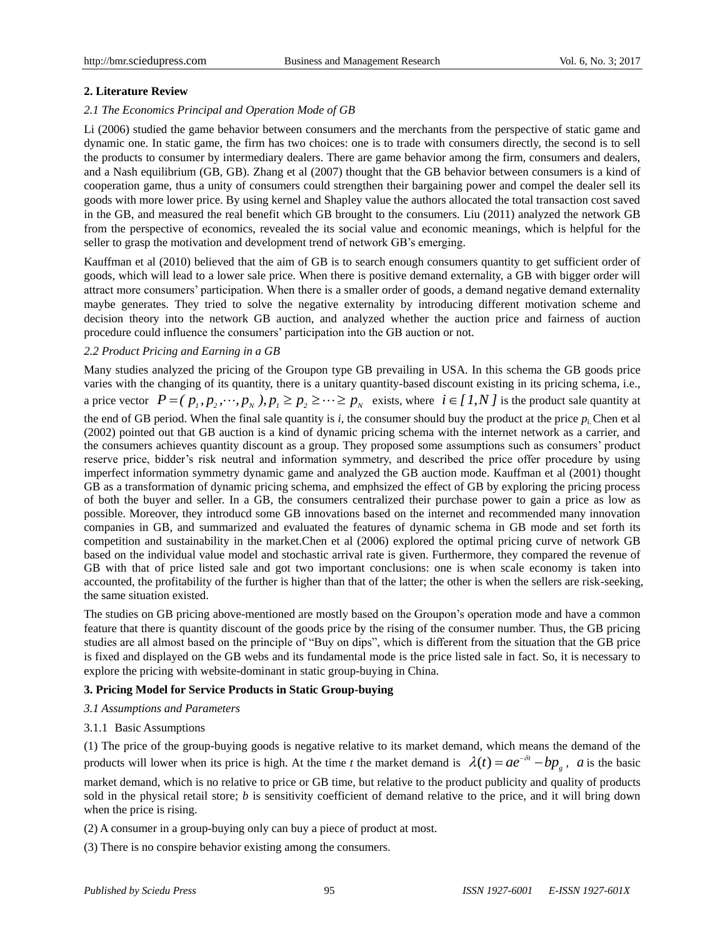## **2. Literature Review**

## *2.1 The Economics Principal and Operation Mode of GB*

Li (2006) studied the game behavior between consumers and the merchants from the perspective of static game and dynamic one. In static game, the firm has two choices: one is to trade with consumers directly, the second is to sell the products to consumer by intermediary dealers. There are game behavior among the firm, consumers and dealers, and a Nash equilibrium (GB, GB). Zhang et al (2007) thought that the GB behavior between consumers is a kind of cooperation game, thus a unity of consumers could strengthen their bargaining power and compel the dealer sell its goods with more lower price. By using kernel and Shapley value the authors allocated the total transaction cost saved in the GB, and measured the real benefit which GB brought to the consumers. Liu (2011) analyzed the network GB from the perspective of economics, revealed the its social value and economic meanings, which is helpful for the seller to grasp the motivation and development trend of network GB's emerging.

Kauffman et al (2010) believed that the aim of GB is to search enough consumers quantity to get sufficient order of goods, which will lead to a lower sale price. When there is positive demand externality, a GB with bigger order will attract more consumers' participation. When there is a smaller order of goods, a demand negative demand externality maybe generates. They tried to solve the negative externality by introducing different motivation scheme and decision theory into the network GB auction, and analyzed whether the auction price and fairness of auction procedure could influence the consumers' participation into the GB auction or not.

#### *2.2 Product Pricing and Earning in a GB*

Many studies analyzed the pricing of the Groupon type GB prevailing in USA. In this schema the GB goods price varies with the changing of its quantity, there is a unitary quantity-based discount existing in its pricing schema, i.e., varies with the changing of its quantity, there is a unitary quantity-based discount existing in its pricing schema, i.e., a price vector  $P = (p_1, p_2, \dots, p_N)$ ,  $p_1 \ge p_2 \ge \dots \ge p_N$  exists, where  $i \in [1, N]$  is the product sal the end of GB period. When the final sale quantity is *i*, the consumer should buy the product at the price  $p_i$ . Chen et al (2002) pointed out that GB auction is a kind of dynamic pricing schema with the internet network as a carrier, and the consumers achieves quantity discount as a group. They proposed some assumptions such as consumers' product reserve price, bidder's risk neutral and information symmetry, and described the price offer procedure by using imperfect information symmetry dynamic game and analyzed the GB auction mode. Kauffman et al (2001) thought GB as a transformation of dynamic pricing schema, and emphsized the effect of GB by exploring the pricing process of both the buyer and seller. In a GB, the consumers centralized their purchase power to gain a price as low as possible. Moreover, they introducd some GB innovations based on the internet and recommended many innovation companies in GB, and summarized and evaluated the features of dynamic schema in GB mode and set forth its competition and sustainability in the market.Chen et al (2006) explored the optimal pricing curve of network GB based on the individual value model and stochastic arrival rate is given. Furthermore, they compared the revenue of GB with that of price listed sale and got two important conclusions: one is when scale economy is taken into accounted, the profitability of the further is higher than that of the latter; the other is when the sellers are risk-seeking, the same situation existed.

The studies on GB pricing above-mentioned are mostly based on the Groupon's operation mode and have a common feature that there is quantity discount of the goods price by the rising of the consumer number. Thus, the GB pricing studies are all almost based on the principle of "Buy on dips", which is different from the situation that the GB price is fixed and displayed on the GB webs and its fundamental mode is the price listed sale in fact. So, it is necessary to explore the pricing with website-dominant in static group-buying in China.

## **3. Pricing Model for Service Products in Static Group-buying**

#### *3.1 Assumptions and Parameters*

#### 3.1.1 Basic Assumptions

(1) The price of the group-buying goods is negative relative to its market demand, which means the demand of the products will lower when its price is high. At the time *t* the market demand is  $\lambda(t) = ae^{-\delta t} - bp_g$ , *a* is the basic

market demand, which is no relative to price or GB time, but relative to the product publicity and quality of products sold in the physical retail store; *b* is sensitivity coefficient of demand relative to the price, and it will bring down when the price is rising.

(2) A consumer in a group-buying only can buy a piece of product at most.

(3) There is no conspire behavior existing among the consumers.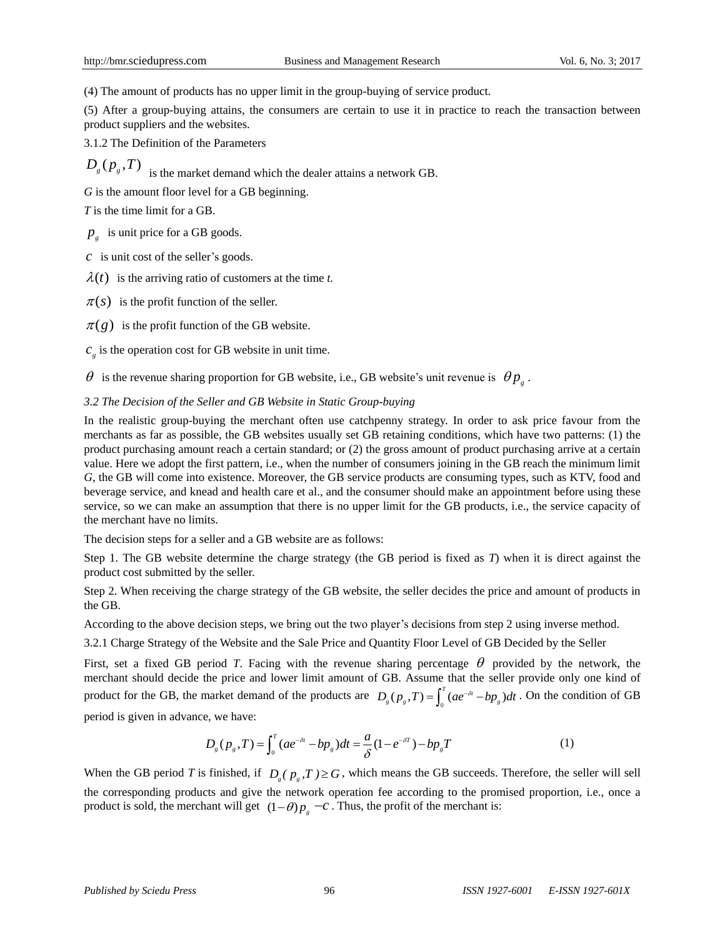(4) The amount of products has no upper limit in the group-buying of service product.

(5) After a group-buying attains, the consumers are certain to use it in practice to reach the transaction between product suppliers and the websites.

3.1.2 The Definition of the Parameters

 $D_{g}(p_{g},T)$  is the market demand which the dealer attains a network GB.

*G* is the amount floor level for a GB beginning.

*T* is the time limit for a GB.

 $p_{g}$  is unit price for a GB goods.

*c* is unit cost of the seller's goods.

 $\lambda(t)$  is the arriving ratio of customers at the time *t*.

 $\pi(s)$  is the profit function of the seller.

 $\pi(g)$  is the profit function of the GB website.

 $c<sub>g</sub>$  is the operation cost for GB website in unit time.

 $\theta$  is the revenue sharing proportion for GB website, i.e., GB website's unit revenue is  $\theta p_{g}$ .

## *3.2 The Decision of the Seller and GB Website in Static Group-buying*

In the realistic group-buying the merchant often use catchpenny strategy. In order to ask price favour from the merchants as far as possible, the GB websites usually set GB retaining conditions, which have two patterns: (1) the product purchasing amount reach a certain standard; or (2) the gross amount of product purchasing arrive at a certain value. Here we adopt the first pattern, i.e., when the number of consumers joining in the GB reach the minimum limit *G*, the GB will come into existence. Moreover, the GB service products are consuming types, such as KTV, food and beverage service, and knead and health care et al., and the consumer should make an appointment before using these service, so we can make an assumption that there is no upper limit for the GB products, i.e., the service capacity of the merchant have no limits.

The decision steps for a seller and a GB website are as follows:

Step 1. The GB website determine the charge strategy (the GB period is fixed as *T*) when it is direct against the product cost submitted by the seller.

Step 2. When receiving the charge strategy of the GB website, the seller decides the price and amount of products in the GB.

According to the above decision steps, we bring out the two player's decisions from step 2 using inverse method.

3.2.1 Charge Strategy of the Website and the Sale Price and Quantity Floor Level of GB Decided by the Seller

First, set a fixed GB period T. Facing with the revenue sharing percentage  $\theta$  provided by the network, the merchant should decide the price and lower limit amount of GB. Assume that the seller provide only one kind of product for the GB, the market demand of the products are  $D_g(p_g, T) = \int_0^T (ae^{-\delta t} - bp_g) dt$  $=\int_0^T (ae^{-\delta t} - bp_s) dt$ . On the condition of GB period is given in advance, we have:

e, we have:  
\n
$$
D_g(p_g, T) = \int_0^T (ae^{-\delta t} - bp_g) dt = \frac{a}{\delta} (1 - e^{-\delta T}) - bp_g T
$$
\n(1)

When the GB period *T* is finished, if  $D_g(p_g, T) \ge G$ , which means the GB succeeds. Therefore, the seller will sell the corresponding products and give the network operation fee according to the promised proportion, i.e., once a product is sold, the merchant will get  $(1-\theta)p_g - c$ . Thus, the profit of the merchant is: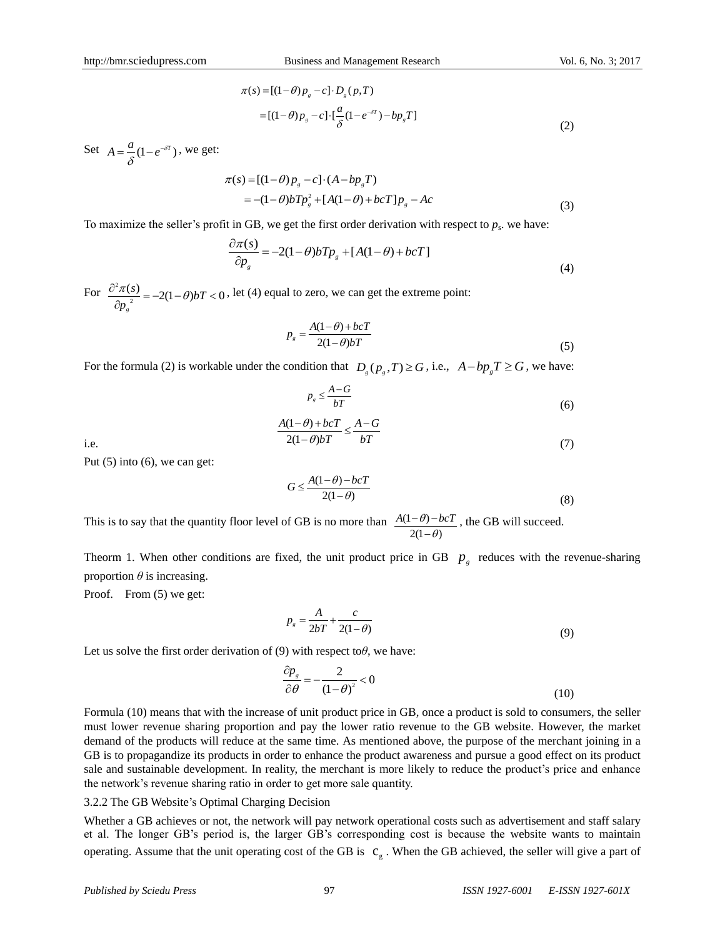$$
\pi(s) = [(1-\theta)p_s - c] \cdot D_s(p,T)
$$
  
= [(1-\theta)p\_s - c] \cdot [\frac{a}{\delta}(1-e^{-\delta T}) - bp\_sT] (2)

Set  $A = \frac{a}{\delta}(1 - e^{-\delta T})$ , we get:

$$
\pi(s) = [(1 - \theta)p_s - c] \cdot (A - bp_sT) \n= -(1 - \theta)bTp_s^2 + [A(1 - \theta) + bcT]p_s - Ac
$$
\n(3)

To maximize the seller's profit in GB, we get the first order derivation with respect to 
$$
p_s
$$
. we have:  
\n
$$
\frac{\partial \pi(s)}{\partial p_s} = -2(1-\theta)bTp_s + [A(1-\theta) + bcT]
$$
\n(4)

For  $\frac{\partial^2}{\partial x^2}$  $\frac{f(s)}{g} = -2(1-\theta)bT < 0$  $rac{\pi(s)}{p_s^2} = -2(1-\theta)bT$  $\frac{\partial^2 \pi(s)}{\partial p_s^2} = -2(1-\theta)bT < 0,$ , let (4) equal to zero, we can get the extreme point:

$$
p_s = \frac{A(1-\theta) + bcT}{2(1-\theta)bT}
$$
\n<sup>(5)</sup>

For the formula (2) is workable under the condition that  $D_g(p_g, T) \ge G$ , i.e.,  $A - bp_g T \ge G$ , we have:

$$
p_s \le \frac{A - G}{bT} \tag{6}
$$

$$
\frac{A(1-\theta) + bcT}{2(1-\theta)bT} \le \frac{A-G}{bT}
$$
\n(7)

i.e.

Put  $(5)$  into  $(6)$ , we can get:

$$
G \le \frac{A(1-\theta) - bcT}{2(1-\theta)}\tag{8}
$$

This is to say that the quantity floor level of GB is no more than  $A(1-\theta)$  $2(1 - \theta)$  $A(1-\theta) - bcT$  $\theta$  $-\theta$ ) $-l$  $\overline{a}$ , the GB will succeed.

Theorm 1. When other conditions are fixed, the unit product price in GB  $p<sub>g</sub>$  reduces with the revenue-sharing proportion  $\theta$  is increasing.

Proof. From (5) we get:

$$
p_s = \frac{A}{2bT} + \frac{c}{2(1-\theta)}\tag{9}
$$

Let us solve the first order derivation of (9) with respect to $\theta$ , we have:

$$
\frac{\partial p_s}{\partial \theta} = -\frac{2}{(1-\theta)^2} < 0 \tag{10}
$$

Formula (10) means that with the increase of unit product price in GB, once a product is sold to consumers, the seller must lower revenue sharing proportion and pay the lower ratio revenue to the GB website. However, the market demand of the products will reduce at the same time. As mentioned above, the purpose of the merchant joining in a GB is to propagandize its products in order to enhance the product awareness and pursue a good effect on its product sale and sustainable development. In reality, the merchant is more likely to reduce the product's price and enhance the network's revenue sharing ratio in order to get more sale quantity.

#### 3.2.2 The GB Website's Optimal Charging Decision

Whether a GB achieves or not, the network will pay network operational costs such as advertisement and staff salary et al. The longer GB's period is, the larger GB's corresponding cost is because the website wants to maintain operating. Assume that the unit operating cost of the GB is  $c_{g}$ . When the GB achieved, the seller will give a part of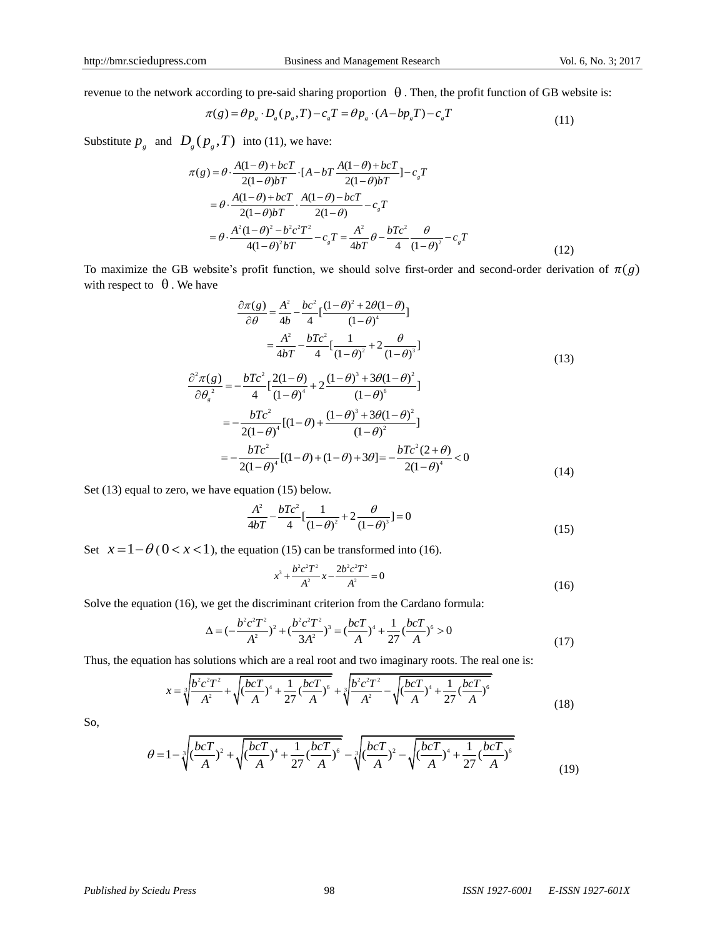revenue to the network according to pre-said sharing proportion  $\theta$ . Then, the profit function of GB website is:<br>  $\pi(g) = \theta p_g \cdot D_g (p_g, T) - c_g T = \theta p_g \cdot (A - bp_g T) - c_g T$  (11)

$$
\pi(g) = \theta p_{g} \cdot D_{g} (p_{g}, T) - c_{g} T = \theta p_{g} \cdot (A - bp_{g} T) - c_{g} T \tag{11}
$$

Substitute 
$$
p_g
$$
 and  $D_g(p_g, T)$  into (11), we have:  
\n
$$
\pi(g) = \theta \cdot \frac{A(1-\theta) + b c T}{2(1-\theta) b T} \cdot [A - b T \frac{A(1-\theta) + b c T}{2(1-\theta) b T}] - c_g T
$$
\n
$$
= \theta \cdot \frac{A(1-\theta) + b c T}{2(1-\theta) b T} \cdot \frac{A(1-\theta) - b c T}{2(1-\theta)} - c_g T
$$
\n
$$
= \theta \cdot \frac{A^2(1-\theta)^2 - b^2 c^2 T^2}{4(1-\theta)^2 b T} - c_g T = \frac{A^2}{4b T} \theta - \frac{b T c^2}{4} \frac{\theta}{(1-\theta)^2} - c_g T
$$
\n(12)

To maximize the GB website's profit function, we should solve first-order and second-order derivation of  $\pi(g)$ with respect to  $\theta$ . We have

e have  
\n
$$
\frac{\partial \pi(g)}{\partial \theta} = \frac{A^2}{4b} - \frac{bc^2}{4} \left[ \frac{(1-\theta)^2 + 2\theta(1-\theta)}{(1-\theta)^4} \right]
$$
\n
$$
= \frac{A^2}{4bT} - \frac{bTc^2}{4} \left[ \frac{1}{(1-\theta)^2} + 2 \frac{\theta}{(1-\theta)^3} \right]
$$
\n
$$
\frac{\partial^2 \pi(g)}{\partial \theta_s^2} = -\frac{bTc^2}{4} \left[ \frac{2(1-\theta)}{(1-\theta)^4} + 2 \frac{(1-\theta)^3 + 3\theta(1-\theta)^2}{(1-\theta)^6} \right]
$$
\n
$$
= -\frac{bTc^2}{2(1-\theta)^4} \left[ (1-\theta) + \frac{(1-\theta)^3 + 3\theta(1-\theta)^2}{(1-\theta)^2} \right]
$$
\n
$$
= -\frac{bTc^2}{2(1-\theta)^4} \left[ (1-\theta) + (1-\theta) + 3\theta \right] = -\frac{bTc^2(2+\theta)}{2(1-\theta)^4} < 0
$$
\n(14)

Set (13) equal to zero, we have equation (15) below.<br> $\frac{A^2}{c^2} - \frac{bTc^2}{c^2} = \frac{1}{c^2}$ 

$$
\frac{A^2}{4bT} - \frac{bTc^2}{4} \left[ \frac{1}{(1-\theta)^2} + 2 \frac{\theta}{(1-\theta)^3} \right] = 0
$$
\n(15)

Set  $x = 1 - \theta$  ( $0 < x < 1$ ), the equation (15) can be transformed into (16).

$$
x^{3} + \frac{b^{2}c^{2}T^{2}}{A^{2}}x - \frac{2b^{2}c^{2}T^{2}}{A^{2}} = 0
$$
\n(16)

Solve the equation (16), we get the discriminant criterion from the Cardano formula:  
\n
$$
\Delta = \left(-\frac{b^2c^2T^2}{A^2}\right)^2 + \left(\frac{b^2c^2T^2}{3A^2}\right)^3 = \left(\frac{bcT}{A}\right)^4 + \frac{1}{27}\left(\frac{bcT}{A}\right)^6 > 0
$$
\n(17)

Thus, the equation has solutions which are a real root and two imaginary roots. The real one is:  

$$
x = \sqrt[3]{\frac{b^2 c^2 T^2}{A^2} + \sqrt{(\frac{bcT}{A})^4 + \frac{1}{27}(\frac{bcT}{A})^6}} + \sqrt[3]{\frac{b^2 c^2 T^2}{A^2} - \sqrt{(\frac{bcT}{A})^4 + \frac{1}{27}(\frac{bcT}{A})^6}}
$$
(18)

So,

$$
\theta = 1 - \sqrt[3]{\left(\frac{bcT}{A}\right)^2 + \sqrt{\left(\frac{bcT}{A}\right)^4 + \frac{1}{27}\left(\frac{bcT}{A}\right)^6}} - \sqrt[3]{\left(\frac{bcT}{A}\right)^2 - \sqrt{\left(\frac{bcT}{A}\right)^4 + \frac{1}{27}\left(\frac{bcT}{A}\right)^6}} \tag{19}
$$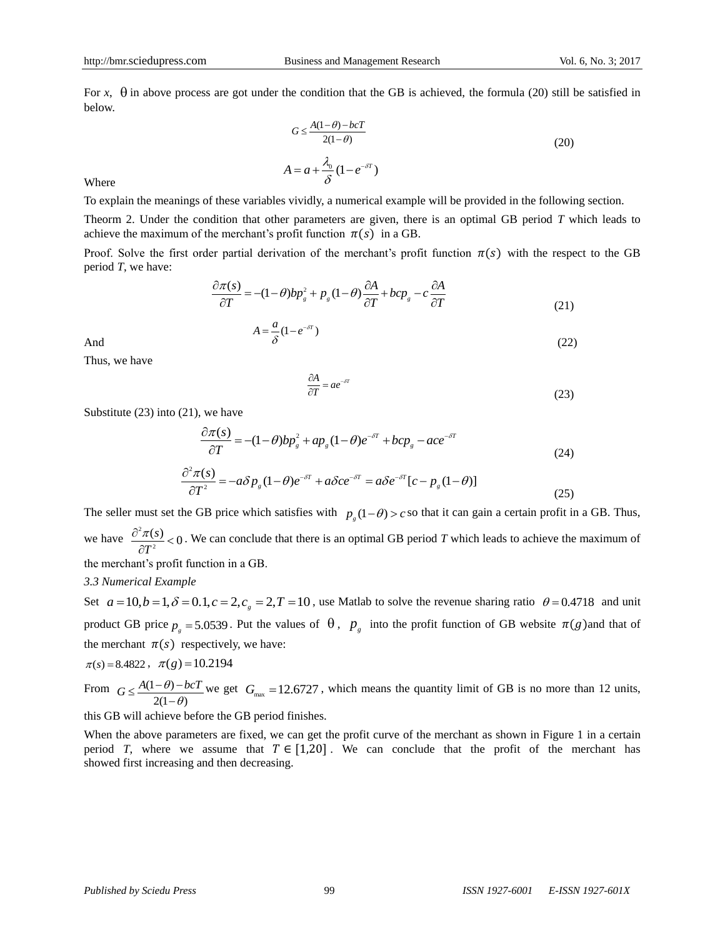For  $x$ ,  $\theta$  in above process are got under the condition that the GB is achieved, the formula (20) still be satisfied in below.

$$
G \le \frac{A(1-\theta) - bcT}{2(1-\theta)}
$$
  

$$
A = a + \frac{\lambda_0}{\delta} (1 - e^{-\delta T})
$$
 (20)

Where

To explain the meanings of these variables vividly, a numerical example will be provided in the following section.

Theorm 2. Under the condition that other parameters are given, there is an optimal GB period *T* which leads to achieve the maximum of the merchant's profit function  $\pi(s)$  in a GB.

Proof. Solve the first order partial derivation of the merchant's profit function  $\pi(s)$  with the respect to the GB period *T*, we have:  $\frac{\partial \pi(s)}{\partial t} = -(1-\theta)bp^2 + p(1-\theta)\frac{\partial A}{\partial t} + bcp - c\frac{\partial A}{\partial t}$ 

$$
\frac{\partial \pi(s)}{\partial T} = -(1 - \theta) b p_s^2 + p_s (1 - \theta) \frac{\partial A}{\partial T} + b c p_s - c \frac{\partial A}{\partial T}
$$
\n(21)

$$
A = \frac{a}{\delta} (1 - e^{-\delta T})
$$
\n(22)

And

Thus, we have

$$
\frac{\partial A}{\partial T} = ae^{-\delta T} \tag{23}
$$

Substitute (23) into (21), we have

21), we have  
\n
$$
\frac{\partial \pi(s)}{\partial T} = -(1-\theta)bp_s^2 + ap_s(1-\theta)e^{-\delta T} + bcp_s - ace^{-\delta T}
$$
\n(24)  
\n
$$
\frac{\partial^2 \pi(s)}{\partial T^2} = -a\delta p_s(1-\theta)e^{-\delta T} + a\delta ce^{-\delta T} = a\delta e^{-\delta T}[c - p_s(1-\theta)]
$$
\n(25)

The seller must set the GB price which satisfies with  $p_g(1-\theta) > c$  so that it can gain a certain profit in a GB. Thus, we have  $\frac{\partial^2}{\partial x^2}$  $\frac{(s)}{s^2}$  < 0 *T*  $\frac{\partial^2 \pi(s)}{\partial T^2}$  < . We can conclude that there is an optimal GB period *T* which leads to achieve the maximum of the merchant's profit function in a GB.

*3.3 Numerical Example*

3.3 Numerical Example<br>Set  $a = 10, b = 1, \delta = 0.1, c = 2, c<sub>g</sub> = 2, T = 10$ , use Matlab to solve the revenue sharing ratio  $\theta = 0.4718$  and unit product GB price  $p_g = 5.0539$ . Put the values of  $\theta$ ,  $p_g$  into the profit function of GB website  $\pi(g)$  and that of the merchant  $\pi(s)$  respectively, we have:

$$
\pi(s) = 8.4822
$$
,  $\pi(g) = 10.2194$ 

From  $G \leq \frac{A(1-\theta)}{A(1-\theta)}$  $\overline{2(1-\theta)}$  $G \leq \frac{A(1-\theta)-bcT}{2\theta}$  $\theta$  $\leq \frac{A(1-\theta)-b}{2(1-\theta)}$ we get  $G_{\text{max}} = 12.6727$ , which means the quantity limit of GB is no more than 12 units,

this GB will achieve before the GB period finishes.

When the above parameters are fixed, we can get the profit curve of the merchant as shown in Figure 1 in a certain period *T*, where we assume that  $T \in [1,20]$ . We can conclude that the profit of the merchant has showed first increasing and then decreasing.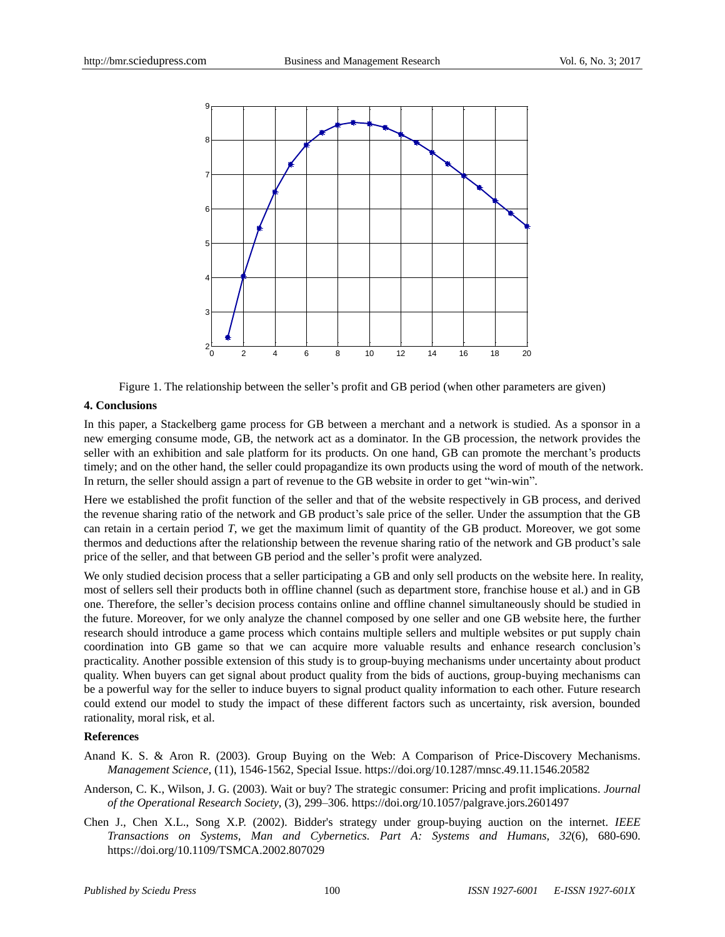

Figure 1. The relationship between the seller's profit and GB period (when other parameters are given)

## **4. Conclusions**

In this paper, a Stackelberg game process for GB between a merchant and a network is studied. As a sponsor in a new emerging consume mode, GB, the network act as a dominator. In the GB procession, the network provides the seller with an exhibition and sale platform for its products. On one hand, GB can promote the merchant's products timely; and on the other hand, the seller could propagandize its own products using the word of mouth of the network. In return, the seller should assign a part of revenue to the GB website in order to get "win-win".

Here we established the profit function of the seller and that of the website respectively in GB process, and derived the revenue sharing ratio of the network and GB product's sale price of the seller. Under the assumption that the GB can retain in a certain period *T*, we get the maximum limit of quantity of the GB product. Moreover, we got some thermos and deductions after the relationship between the revenue sharing ratio of the network and GB product's sale price of the seller, and that between GB period and the seller's profit were analyzed.

We only studied decision process that a seller participating a GB and only sell products on the website here. In reality, most of sellers sell their products both in offline channel (such as department store, franchise house et al.) and in GB one. Therefore, the seller's decision process contains online and offline channel simultaneously should be studied in the future. Moreover, for we only analyze the channel composed by one seller and one GB website here, the further research should introduce a game process which contains multiple sellers and multiple websites or put supply chain coordination into GB game so that we can acquire more valuable results and enhance research conclusion's practicality. Another possible extension of this study is to group-buying mechanisms under uncertainty about product quality. When buyers can get signal about product quality from the bids of auctions, group-buying mechanisms can be a powerful way for the seller to induce buyers to signal product quality information to each other. Future research could extend our model to study the impact of these different factors such as uncertainty, risk aversion, bounded rationality, moral risk, et al.

## **References**

- Anand K. S. & Aron R. (2003). Group Buying on the Web: A Comparison of Price-Discovery Mechanisms. *Management Science*, (11), 1546-1562, Special Issue. <https://doi.org/10.1287/mnsc.49.11.1546.20582>
- Anderson, C. K., Wilson, J. G. (2003). Wait or buy? The strategic consumer: Pricing and profit implications. *Journal of the Operational Research Society*, (3), 299–306. <https://doi.org/10.1057/palgrave.jors.2601497>
- Chen J., Chen X.L., Song X.P. (2002). Bidder's strategy under group-buying auction on the internet. *IEEE Transactions on Systems, Man and Cybernetics. Part A: Systems and Humans, 32*(6), 680-690. <https://doi.org/10.1109/TSMCA.2002.807029>